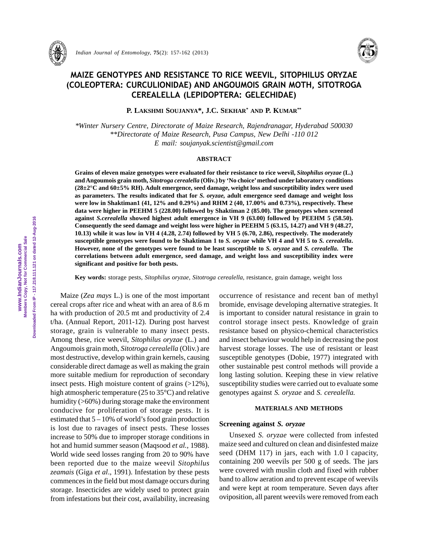

 *Indian Journal of Entomology,* **75**(2): 157-162 (2013)



# MAIZE GENOTYPES AND RESISTANCE TO RICE WEEVIL, SITOPHILUS ORYZAE (COLEOPTERA: CURCULIONIDAE) AND ANGOUMOIS GRAIN MOTH, SITOTROGA CEREALELLA (LEPIDOPTERA: GELECHIDAE)

**P. LAKSHMI SOUJANYA\*, J.C. SEKHAR\* AND P. KUMAR\*\***

*\*Winter Nursery Centre, Directorate of Maize Research, Rajendranagar, Hyderabad 500030 \*\*Directorate of Maize Research, Pusa Campus, New Delhi -110 012 E mail: soujanyak.scientist@gmail.com*

### **ABSTRACT**

**Grains of eleven maize genotypes were evaluated for their resistance to rice weevil,** *Sitophilus oryzae* **(L.) and Angoumois grain moth,** *Sitotroga cerealella* **(Oliv.) by 'No choice' method under laboratory conditions (28±2°C and 60±5% RH). Adult emergence, seed damage, weight loss and susceptibility index were used as parameters. The results indicated that for** *S. oryzae,* **adult emergence seed damage and weight loss were low in Shaktiman1 (41, 12% and 0.29%) and RHM 2 (40, 17.00% and 0.73%), respectively. These data were higher in PEEHM 5 (228.00) followed by Shaktiman 2 (85.00). The genotypes when screened against** *S.cerealella* **showed highest adult emergence in VH 9 (63.00) followed by PEEHM 5 (58.50). Consequently the seed damage and weight loss were higher in PEEHM 5 (63.15, 14.27) and VH 9 (48.27, 10.13) while it was low in VH 4 (4.28, 2.74) followed by VH 5 (6.70, 2.86), respectively. The moderately susceptible genotypes were found to be Shaktiman 1 to** *S. oryzae* **while VH 4 and VH 5 to** *S. cerealella***. However, none of the genotypes were found to be least susceptible to** *S. oryzae* **and** *S. cerealella***. The correlations between adult emergence, seed damage, and weight loss and susceptibility index were significant and positive for both pests.**

**Key words:** storage pests, *Sitophilus oryzae*, *Sitotroga cerealella*, resistance, grain damage, weight loss

Maize (*Zea mays* L.) is one of the most important cereal crops after rice and wheat with an area of 8.6 m ha with production of 20.5 mt and productivity of 2.4 t/ha. (Annual Report, 2011-12). During post harvest storage, grain is vulnerable to many insect pests. Among these, rice weevil, *Sitophilus oryzae* (L.) and Angoumois grain moth, *Sitotroga cerealella* (Oliv.) are most destructive, develop within grain kernels, causing considerable direct damage as well as making the grain more suitable medium for reproduction of secondary insect pests. High moisture content of grains  $(>12\%)$ , high atmospheric temperature (25 to 35°C) and relative humidity (>60%) during storage make the environment conducive for proliferation of storage pests. It is estimated that  $5 - 10\%$  of world's food grain production is lost due to ravages of insect pests. These losses increase to 50% due to improper storage conditions in hot and humid summer season (Maqsood *et al.,* 1988). World wide seed losses ranging from 20 to 90% have been reported due to the maize weevil *Sitophilus zeamais* (Giga *et al*., 1991). Infestation by these pests commences in the field but most damage occurs during storage. Insecticides are widely used to protect grain from infestations but their cost, availability, increasing occurrence of resistance and recent ban of methyl bromide, envisage developing alternative strategies. It is important to consider natural resistance in grain to control storage insect pests. Knowledge of grain resistance based on physico-chemical characteristics and insect behaviour would help in decreasing the post harvest storage losses. The use of resistant or least susceptible genotypes (Dobie, 1977) integrated with other sustainable pest control methods will provide a long lasting solution. Keeping these in view relative susceptibility studies were carried out to evaluate some genotypes against *S. oryzae* and *S. cerealella.*

### **MATERIALS AND METHODS**

### **Screening against** *S. oryzae*

Unsexed *S. oryzae* were collected from infested maize seed and cultured on clean and disinfested maize seed (DHM 117) in jars, each with 1.0 l capacity, containing 200 weevils per 500 g of seeds. The jars were covered with muslin cloth and fixed with rubber band to allow aeration and to prevent escape of weevils and were kept at room temperature. Seven days after oviposition, all parent weevils were removed from each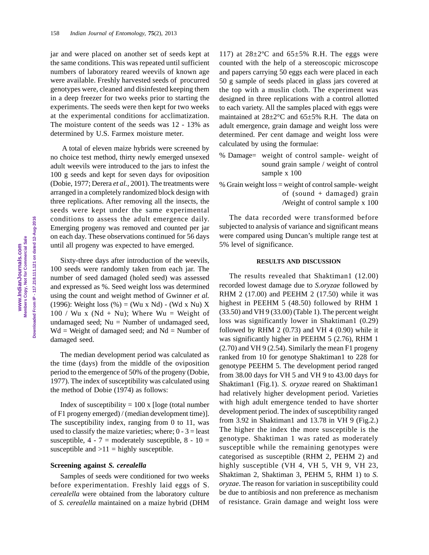jar and were placed on another set of seeds kept at the same conditions. This was repeated until sufficient numbers of laboratory reared weevils of known age were available. Freshly harvested seeds of procurred genotypes were, cleaned and disinfested keeping them in a deep freezer for two weeks prior to starting the experiments. The seeds were then kept for two weeks at the experimental conditions for acclimatization. The moisture content of the seeds was 12 - 13% as determined by U.S. Farmex moisture meter.

 A total of eleven maize hybrids were screened by no choice test method, thirty newly emerged unsexed adult weevils were introduced to the jars to infest the 100 g seeds and kept for seven days for oviposition (Dobie, 1977; Derera *et al.,* 2001). The treatments were arranged in a completely randomized block design with three replications. After removing all the insects, the seeds were kept under the same experimental conditions to assess the adult emergence daily. Emerging progeny was removed and counted per jar on each day. These observations continued for 56 days until all progeny was expected to have emerged.

Sixty-three days after introduction of the weevils, 100 seeds were randomly taken from each jar. The number of seed damaged (holed seed) was assessed and expressed as %. Seed weight loss was determined using the count and weight method of Gwinner *et al.* (1996): Weight loss  $(\%) = (Wu \times Nd) - (Wd \times Nu) \times$ 100 / Wu x (Nd + Nu); Where Wu = Weight of undamaged seed; Nu = Number of undamaged seed,  $Wd = Weight of damaged seed; and Nd = Number of$ damaged seed.

The median development period was calculated as the time (days) from the middle of the oviposition period to the emergence of 50% of the progeny (Dobie, 1977). The index of susceptibility was calculated using the method of Dobie (1974) as follows:

Index of susceptibility  $= 100 \times$  [loge (total number of F1 progeny emerged) / (median development time)]. The susceptibility index, ranging from 0 to 11, was used to classify the maize varieties; where;  $0 - 3 =$  least susceptible,  $4 - 7 =$  moderately susceptible,  $8 - 10 =$ susceptible and  $>11$  = highly susceptible.

### **Screening against** *S. cerealella*

Samples of seeds were conditioned for two weeks before experimentation. Freshly laid eggs of S. *cerealella* were obtained from the laboratory culture of *S. cerealella* maintained on a maize hybrid (DHM

117) at  $28 \pm 2^{\circ}$ C and  $65 \pm 5\%$  R.H. The eggs were counted with the help of a stereoscopic microscope and papers carrying 50 eggs each were placed in each 50 g sample of seeds placed in glass jars covered at the top with a muslin cloth. The experiment was designed in three replications with a control allotted to each variety. All the samples placed with eggs were maintained at 28±2°C and 65±5% R.H. The data on adult emergence, grain damage and weight loss were determined. Per cent damage and weight loss were calculated by using the formulae:

- % Damage= weight of control sample- weight of sound grain sample / weight of control sample x 100
- % Grain weight loss = weight of control sample- weight of (sound  $+$  damaged) grain /Weight of control sample x 100

The data recorded were transformed before subjected to analysis of variance and significant means were compared using Duncan's multiple range test at 5% level of significance.

### **RESULTS AND DISCUSSION**

The results revealed that Shaktiman1 (12.00) recorded lowest damage due to *S.oryzae* followed by RHM 2 (17.00) and PEEHM 2 (17.50) while it was highest in PEEHM 5 (48.50) followed by RHM 1 (33.50) and VH 9 (33.00) (Table 1). The percent weight loss was significantly lower in Shaktiman1 (0.29) followed by RHM  $2(0.73)$  and VH  $4(0.90)$  while it was significantly higher in PEEHM 5 (2.76), RHM 1 (2.70) and VH 9 (2.54). Similarly the mean F1 progeny ranked from 10 for genotype Shaktiman1 to 228 for genotype PEEHM 5. The development period ranged from 38.00 days for VH 5 and VH 9 to 43.00 days for Shaktiman1 (Fig.1). *S. oryzae* reared on Shaktiman1 had relatively higher development period. Varieties with high adult emergence tended to have shorter development period. The index of susceptibility ranged from 3.92 in Shaktiman1 and 13.78 in VH 9 (Fig.2.) The higher the index the more susceptible is the genotype. Shaktiman 1 was rated as moderately susceptible while the remaining genotypes were categorised as susceptible (RHM 2, PEHM 2) and highly susceptible (VH 4, VH 5, VH 9, VH 23, Shaktiman 2, Shaktiman 3, PEHM 5, RHM 1) to *S. oryzae*. The reason for variation in susceptibility could be due to antibiosis and non preference as mechanism of resistance. Grain damage and weight loss were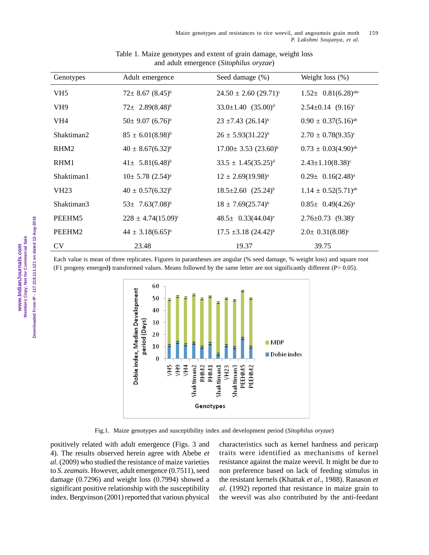| Genotypes          | Adult emergence                  | Seed damage (%)                       | Weight loss $(\%)$                   |
|--------------------|----------------------------------|---------------------------------------|--------------------------------------|
| VH <sub>5</sub>    | $72 \pm 8.67$ $(8.45)^{b}$       | $24.50 \pm 2.60$ (29.71) <sup>c</sup> | $1.52 \pm 0.81(6.28)$ <sup>abc</sup> |
| VH <sub>9</sub>    | $72 \pm 2.89(8.48)^b$            | $33.0 \pm 1.40$ $(35.00)^d$           | $2.54 \pm 0.14$ $(9.16)^c$           |
| VH4                | $50\pm 9.07$ $(6.76)^b$          | $23 \pm 7.43$ $(26.14)^b$             | $0.90 \pm 0.37(5.16)^{ab}$           |
| Shaktiman2         | $85 \pm 6.01(8.98)^{b}$          | $26 \pm 5.93(31.22)^{b}$              | $2.70 \pm 0.78(9.35)^{\circ}$        |
| RHM <sub>2</sub>   | $40 \pm 8.67(6.32)^{b}$          | $17.00 \pm 3.53$ $(23.60)^{b}$        | $0.73 \pm 0.03(4.90)^{ab}$           |
| RHM1               | $41 \pm 5.81(6.48)^{b}$          | $33.5 \pm 1.45(35.25)^d$              | $2.43 \pm 1.10(8.38)^c$              |
| Shaktiman1         | $10\pm 5.78$ $(2.54)^a$          | $12 \pm 2.69(19.98)^a$                | $0.29 \pm 0.16(2.48)^a$              |
| <b>VH23</b>        | $40 \pm 0.57(6.32)^{b}$          | $18.5 \pm 2.60$ $(25.24)^{b}$         | $1.14 \pm 0.52(5.71)^{ab}$           |
| Shaktiman3         | 53 $\pm$ 7.63(7.08) <sup>b</sup> | $18 \pm 7.69(25.74)^{b}$              | $0.85 \pm 0.49(4.26)^a$              |
| PEEHM <sub>5</sub> | $228 \pm 4.74(15.09)^{\circ}$    | $48.5 \pm 0.33(44.04)^e$              | $2.76 \pm 0.73$ $(9.38)^{\circ}$     |
| PEEHM2             | $44 \pm 3.18(6.65)^{b}$          | $17.5 \pm 3.18 (24.42)^{b}$           | $2.0 \pm 0.31(8.08)^c$               |
| <b>CV</b>          | 23.48                            | 19.37                                 | 39.75                                |

## Table 1. Maize genotypes and extent of grain damage, weight loss and adult emergence (*Sitophilus oryzae*)

Each value is mean of three replicates. Figures in parantheses are angular (% seed damage, % weight loss) and square root (F1 progeny emerged**)** transformed values. Means followed by the same letter are not significantly different (P> 0.05).



Fig.1. Maize genotypes and susceptibility index and development period (*Sitophilus oryzae*)

positively related with adult emergence (Figs. 3 and 4). The results observed herein agree with Abebe *et al*. (2009) who studied the resistance of maize varieties to *S. zeamais*. However, adult emergence (0.7511), seed damage (0.7296) and weight loss (0.7994) showed a significant positive relationship with the susceptibility index. Bergvinson (2001) reported that various physical characteristics such as kernel hardness and pericarp traits were identified as mechanisms of kernel resistance against the maize weevil. It might be due to non preference based on lack of feeding stimulus in the resistant kernels (Khattak *et al*., 1988). Ranason *et al*. (1992) reported that resistance in maize grain to the weevil was also contributed by the anti-feedant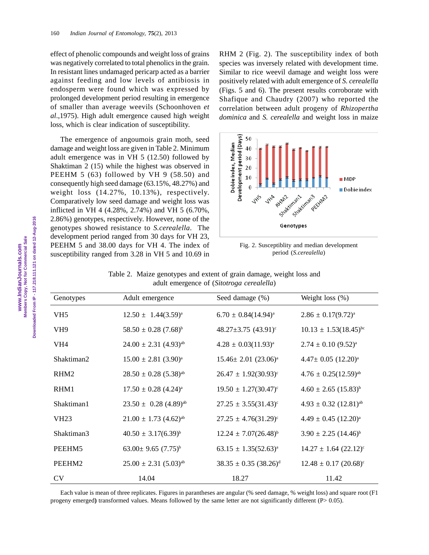effect of phenolic compounds and weight loss of grains was negatively correlated to total phenolics in the grain. In resistant lines undamaged pericarp acted as a barrier against feeding and low levels of antibiosis in endosperm were found which was expressed by prolonged development period resulting in emergence of smaller than average weevils (Schoonhoven *et al*.,1975). High adult emergence caused high weight loss, which is clear indication of susceptibility.

The emergence of angoumois grain moth, seed damage and weight loss are given in Table 2. Minimum adult emergence was in VH 5 (12.50) followed by Shaktiman 2 (15) while the highest was observed in PEEHM 5 (63) followed by VH 9 (58.50) and consequently high seed damage (63.15%, 48.27%) and weight loss (14.27%, 10.13%), respectively. Comparatively low seed damage and weight loss was inflicted in VH 4 (4.28%, 2.74%) and VH 5 (6.70%, 2.86%) genotypes, respectively. However, none of the genotypes showed resistance to *S.cerealella*. The development period ranged from 30 days for VH 23, PEEHM 5 and 38.00 days for VH 4. The index of susceptibility ranged from 3.28 in VH 5 and 10.69 in

RHM 2 (Fig. 2). The susceptibility index of both species was inversely related with development time. Similar to rice weevil damage and weight loss were positively related with adult emergence of *S. cerealella* (Figs. 5 and 6). The present results corroborate with Shafique and Chaudry (2007) who reported the correlation between adult progeny of *Rhizopertha dominica* and *S. cerealella* and weight loss in maize



Fig. 2. Susceptiblity and median development period (*S.cerealella*)

| adult emergence of (Sitotroga cerealella) |                                       |                                        |                                       |  |
|-------------------------------------------|---------------------------------------|----------------------------------------|---------------------------------------|--|
| Genotypes                                 | Adult emergence                       | Seed damage (%)                        | Weight loss $(\%)$                    |  |
| VH <sub>5</sub>                           | $12.50 \pm 1.44(3.59)^{a}$            | $6.70 \pm 0.84(14.94)^{a}$             | $2.86 \pm 0.17(9.72)^{a}$             |  |
| VH <sub>9</sub>                           | $58.50 \pm 0.28$ (7.68) <sup>b</sup>  | 48.27 $\pm$ 3.75 (43.91) $\textdegree$ | $10.13 \pm 1.53(18.45)^{bc}$          |  |
| VH <sub>4</sub>                           | $24.00 \pm 2.31$ (4.93) <sup>ab</sup> | $4.28 \pm 0.03(11.93)^{a}$             | $2.74 \pm 0.10$ (9.52) <sup>a</sup>   |  |
| Shaktiman2                                | $15.00 \pm 2.81$ (3.90) <sup>a</sup>  | $15.46 \pm 2.01$ $(23.06)^a$           | $4.47 \pm 0.05$ $(12.20)^a$           |  |
| RHM <sub>2</sub>                          | $28.50 \pm 0.28$ (5.38) <sup>ab</sup> | $26.47 \pm 1.92(30.93)^{\circ}$        | $4.76 \pm 0.25(12.59)^{ab}$           |  |
| RHM1                                      | $17.50 \pm 0.28$ (4.24) <sup>a</sup>  | $19.50 \pm 1.27(30.47)^{\circ}$        | $4.60 \pm 2.65$ (15.83) <sup>b</sup>  |  |
| Shaktiman1                                | $23.50 \pm 0.28$ (4.89) <sup>ab</sup> | $27.25 \pm 3.55(31.43)^{\circ}$        | $4.93 \pm 0.32$ (12.81) <sup>ab</sup> |  |
| <b>VH23</b>                               | $21.00 \pm 1.73$ $(4.62)^{ab}$        | $27.25 \pm 4.76(31.29)^{\circ}$        | $4.49 \pm 0.45$ (12.20) <sup>a</sup>  |  |
| Shaktiman3                                | $40.50 \pm 3.17(6.39)^{b}$            | $12.24 \pm 7.07(26.48)^{b}$            | $3.90 \pm 2.25$ $(14.46)^{b}$         |  |
| PEEHM5                                    | 63.00 ± 9.65 $(7.75)^{b}$             | $63.15 \pm 1.35(52.63)^{a}$            | $14.27 \pm 1.64$ $(22.12)^{\circ}$    |  |
| PEEHM2                                    | $25.00 \pm 2.31$ $(5.03)^{ab}$        | $38.35 \pm 0.35$ $(38.26)^d$           | $12.48 \pm 0.17$ (20.68) <sup>c</sup> |  |
| CV                                        | 14.04                                 | 18.27                                  | 11.42                                 |  |

Table 2. Maize genotypes and extent of grain damage, weight loss and adult emergence of (*Sitotroga cerealella*)

Each value is mean of three replicates. Figures in parantheses are angular (% seed damage, % weight loss) and square root (F1 progeny emerged) transformed values. Means followed by the same letter are not significantly different (P> 0.05).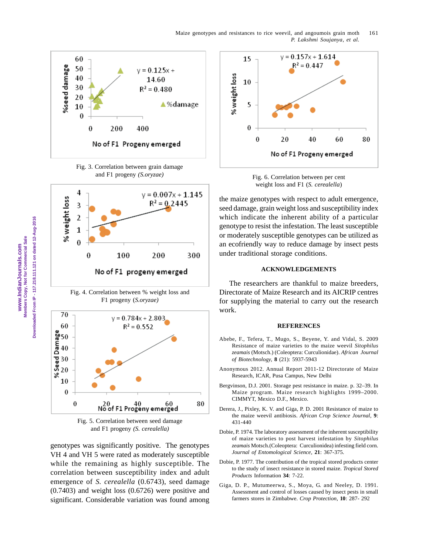Maize genotypes and resistances to rice weevil, and angoumois grain moth 161 *P. Lakshmi Soujanya, et al.*









Fig. 5. Correlation between seed damage and F1 progeny *(S. cerealella)*

genotypes was significantly positive. The genotypes VH 4 and VH 5 were rated as moderately susceptible while the remaining as highly susceptible. The correlation between susceptibility index and adult emergence of *S. cerealella* (0.6743), seed damage (0.7403) and weight loss (0.6726) were positive and significant. Considerable variation was found among



Fig. 6. Correlation between per cent weight loss and F1 (*S. cerealella*)

the maize genotypes with respect to adult emergence, seed damage, grain weight loss and susceptibility index which indicate the inherent ability of a particular genotype to resist the infestation. The least susceptible or moderately susceptible genotypes can be utilized as an ecofriendly way to reduce damage by insect pests under traditional storage conditions.

### **ACKNOWLEDGEMENTS**

The researchers are thankful to maize breeders, Directorate of Maize Research and its AICRIP centres for supplying the material to carry out the research work.

#### **REFERENCES**

- Abebe, F., Tefera, T., Mugo, S., Beyene, Y. and Vidal, S. 2009 Resistance of maize varieties to the maize weevil *Sitophilus zeamais* (Motsch.) (Coleoptera: Curculionidae). *African Journal of Biotechnology,* **8** (21): 5937-5943
- Anonymous 2012. Annual Report 2011-12 Directorate of Maize Research, ICAR, Pusa Campus, New Delhi
- Bergvinson, D.J. 2001. Storage pest resistance in maize. p. 32–39. In Maize program. Maize research highlights 1999–2000. CIMMYT, Mexico D.F., Mexico.
- Derera, J., Pixley, K. V. and Giga, P. D. 2001 Resistance of maize to the maize weevil antibiosis. *African Crop Science Journal,* **9**: 431-440
- Dobie, P. 1974. The laboratory assessment of the inherent susceptibility of maize varieties to post harvest infestation by *Sitophilus zeamais* Motsch.(Coleoptera: Curculionidea) infesting field corn. *Journal of Entomological Science,* **21**: 367-375.
- Dobie, P. 1977. The contribution of the tropical stored products center to the study of insect resistance in stored maize. *Tropical Stored Products* Information **34**: 7-22.
- Giga, D. P., Mutumeerwa, S., Moya, G. and Neeley, D. 1991. Assessment and control of losses caused by insect pests in small farmers stores in Zimbabwe. *Crop Protection,* **10**: 287- 292

Downloaded From IP - 117.218.111.121 on dated 12-Aug-2016 **Downloaded From IP - 117.218.111.121 on dated 12-Aug-2016** Members Copy, Not for Commercial Sale  **Members Copy, Not for Commercial Sale www.IndianJournals.com**  www.IndianJournals.com